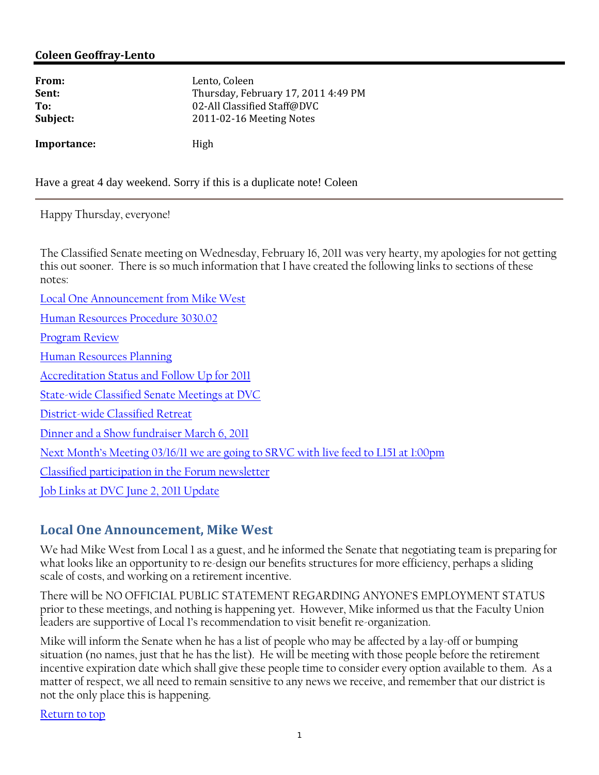#### **Coleen GeoffrayLento**

| From:       | Lento, Coleen                       |
|-------------|-------------------------------------|
| Sent:       | Thursday, February 17, 2011 4:49 PM |
| To:         | 02-All Classified Staff@DVC         |
| Subject:    | 2011-02-16 Meeting Notes            |
| Importance: | High                                |

Have a great 4 day weekend. Sorry if this is a duplicate note! Coleen

Happy Thursday, everyone!

The Classified Senate meeting on Wednesday, February 16, 2011 was very hearty, my apologies for not getting this out sooner. There is so much information that I have created the following links to sections of these notes:

Local One Announcement from Mike West Human Resources Procedure 3030.02 Program Review Human Resources Planning Accreditation Status and Follow Up for 2011 State-wide Classified Senate Meetings at DVC District-wide Classified Retreat Dinner and a Show fundraiser March 6, 2011 Next Month's Meeting 03/16/11 we are going to SRVC with live feed to L151 at 1:00pm Classified participation in the Forum newsletter Job Links at DVC June 2, 2011 Update

#### **Local One Announcement, Mike West**

We had Mike West from Local 1 as a guest, and he informed the Senate that negotiating team is preparing for what looks like an opportunity to re-design our benefits structures for more efficiency, perhaps a sliding scale of costs, and working on a retirement incentive.

There will be NO OFFICIAL PUBLIC STATEMENT REGARDING ANYONE'S EMPLOYMENT STATUS prior to these meetings, and nothing is happening yet. However, Mike informed us that the Faculty Union leaders are supportive of Local 1's recommendation to visit benefit re-organization.

Mike will inform the Senate when he has a list of people who may be affected by a lay-off or bumping situation (no names, just that he has the list). He will be meeting with those people before the retirement incentive expiration date which shall give these people time to consider every option available to them. As a matter of respect, we all need to remain sensitive to any news we receive, and remember that our district is not the only place this is happening.

Return to top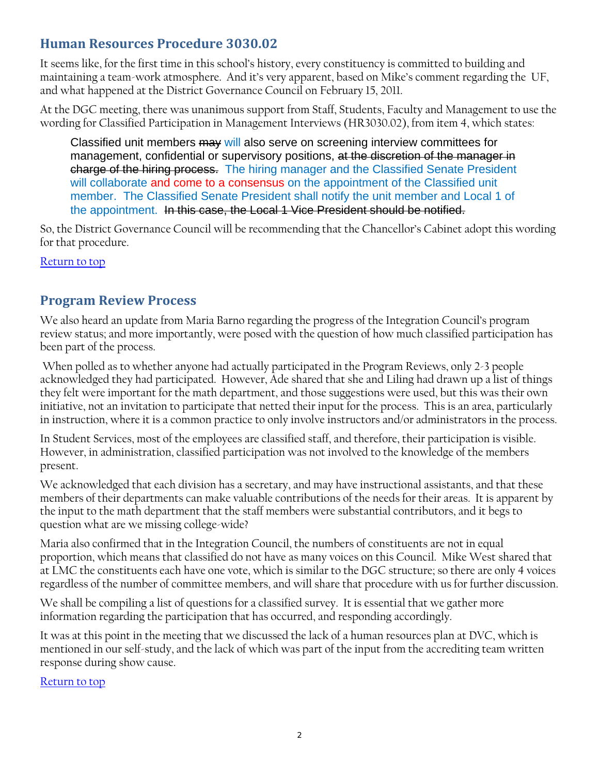## **Human Resources Procedure 3030.02**

It seems like, for the first time in this school's history, every constituency is committed to building and maintaining a team-work atmosphere. And it's very apparent, based on Mike's comment regarding the UF, and what happened at the District Governance Council on February 15, 2011.

At the DGC meeting, there was unanimous support from Staff, Students, Faculty and Management to use the wording for Classified Participation in Management Interviews (HR3030.02), from item 4, which states:

Classified unit members may will also serve on screening interview committees for management, confidential or supervisory positions, at the discretion of the manager in charge of the hiring process. The hiring manager and the Classified Senate President will collaborate and come to a consensus on the appointment of the Classified unit member. The Classified Senate President shall notify the unit member and Local 1 of the appointment. In this case, the Local 1 Vice President should be notified.

So, the District Governance Council will be recommending that the Chancellor's Cabinet adopt this wording for that procedure.

Return to top

## **Program Review Process**

We also heard an update from Maria Barno regarding the progress of the Integration Council's program review status; and more importantly, were posed with the question of how much classified participation has been part of the process.

 When polled as to whether anyone had actually participated in the Program Reviews, only 2-3 people acknowledged they had participated. However, Ade shared that she and Liling had drawn up a list of things they felt were important for the math department, and those suggestions were used, but this was their own initiative, not an invitation to participate that netted their input for the process. This is an area, particularly in instruction, where it is a common practice to only involve instructors and/or administrators in the process.

In Student Services, most of the employees are classified staff, and therefore, their participation is visible. However, in administration, classified participation was not involved to the knowledge of the members present.

We acknowledged that each division has a secretary, and may have instructional assistants, and that these members of their departments can make valuable contributions of the needs for their areas. It is apparent by the input to the math department that the staff members were substantial contributors, and it begs to question what are we missing college-wide?

Maria also confirmed that in the Integration Council, the numbers of constituents are not in equal proportion, which means that classified do not have as many voices on this Council. Mike West shared that at LMC the constituents each have one vote, which is similar to the DGC structure; so there are only 4 voices regardless of the number of committee members, and will share that procedure with us for further discussion.

We shall be compiling a list of questions for a classified survey. It is essential that we gather more information regarding the participation that has occurred, and responding accordingly.

It was at this point in the meeting that we discussed the lack of a human resources plan at DVC, which is mentioned in our self-study, and the lack of which was part of the input from the accrediting team written response during show cause.

Return to top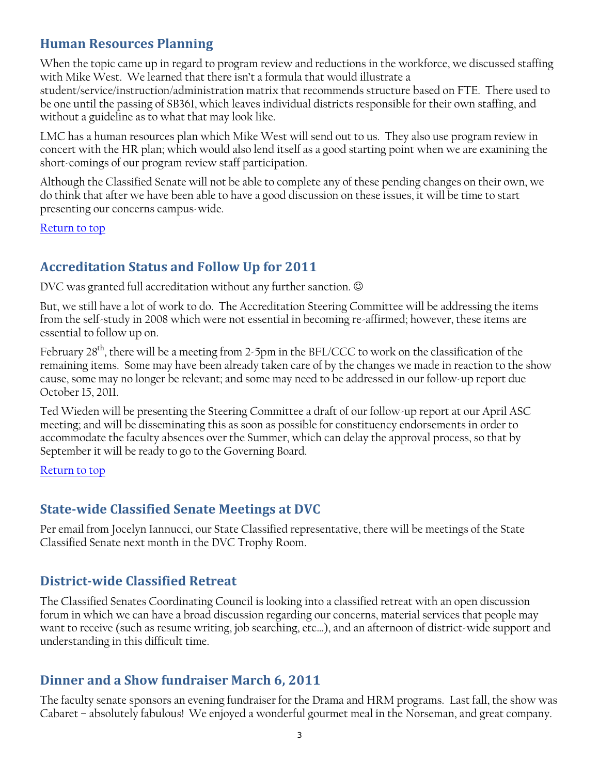### **Human Resources Planning**

When the topic came up in regard to program review and reductions in the workforce, we discussed staffing with Mike West. We learned that there isn't a formula that would illustrate a

student/service/instruction/administration matrix that recommends structure based on FTE. There used to be one until the passing of SB361, which leaves individual districts responsible for their own staffing, and without a guideline as to what that may look like.

LMC has a human resources plan which Mike West will send out to us. They also use program review in concert with the HR plan; which would also lend itself as a good starting point when we are examining the short-comings of our program review staff participation.

Although the Classified Senate will not be able to complete any of these pending changes on their own, we do think that after we have been able to have a good discussion on these issues, it will be time to start presenting our concerns campus-wide.

Return to top

## **Accreditation Status and Follow Up for 2011**

DVC was granted full accreditation without any further sanction.  $\odot$ 

But, we still have a lot of work to do. The Accreditation Steering Committee will be addressing the items from the self-study in 2008 which were not essential in becoming re-affirmed; however, these items are essential to follow up on.

February  $28<sup>th</sup>$ , there will be a meeting from 2-5pm in the BFL/CCC to work on the classification of the remaining items. Some may have been already taken care of by the changes we made in reaction to the show cause, some may no longer be relevant; and some may need to be addressed in our follow-up report due October 15, 2011.

Ted Wieden will be presenting the Steering Committee a draft of our follow-up report at our April ASC meeting; and will be disseminating this as soon as possible for constituency endorsements in order to accommodate the faculty absences over the Summer, which can delay the approval process, so that by September it will be ready to go to the Governing Board.

Return to top

## **Statewide Classified Senate Meetings at DVC**

Per email from Jocelyn Iannucci, our State Classified representative, there will be meetings of the State Classified Senate next month in the DVC Trophy Room.

## **Districtwide Classified Retreat**

The Classified Senates Coordinating Council is looking into a classified retreat with an open discussion forum in which we can have a broad discussion regarding our concerns, material services that people may want to receive (such as resume writing, job searching, etc…), and an afternoon of district-wide support and understanding in this difficult time.

#### **Dinner and a Show fundraiser March 6, 2011**

The faculty senate sponsors an evening fundraiser for the Drama and HRM programs. Last fall, the show was Cabaret – absolutely fabulous! We enjoyed a wonderful gourmet meal in the Norseman, and great company.